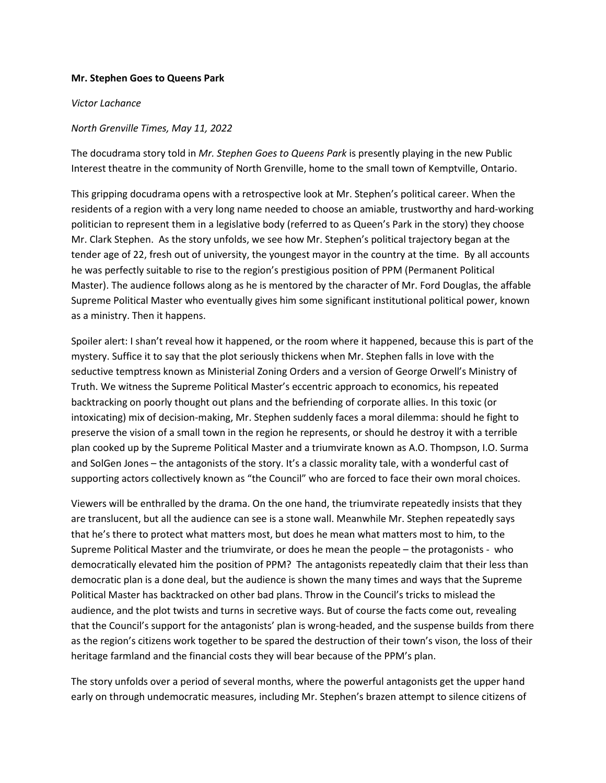## **Mr. Stephen Goes to Queens Park**

## *Victor Lachance*

## *North Grenville Times, May 11, 2022*

The docudrama story told in *Mr. Stephen Goes to Queens Park* is presently playing in the new Public Interest theatre in the community of North Grenville, home to the small town of Kemptville, Ontario.

This gripping docudrama opens with a retrospective look at Mr. Stephen's political career. When the residents of a region with a very long name needed to choose an amiable, trustworthy and hard-working politician to represent them in a legislative body (referred to as Queen's Park in the story) they choose Mr. Clark Stephen. As the story unfolds, we see how Mr. Stephen's political trajectory began at the tender age of 22, fresh out of university, the youngest mayor in the country at the time. By all accounts he was perfectly suitable to rise to the region's prestigious position of PPM (Permanent Political Master). The audience follows along as he is mentored by the character of Mr. Ford Douglas, the affable Supreme Political Master who eventually gives him some significant institutional political power, known as a ministry. Then it happens.

Spoiler alert: I shan't reveal how it happened, or the room where it happened, because this is part of the mystery. Suffice it to say that the plot seriously thickens when Mr. Stephen falls in love with the seductive temptress known as Ministerial Zoning Orders and a version of George Orwell's Ministry of Truth. We witness the Supreme Political Master's eccentric approach to economics, his repeated backtracking on poorly thought out plans and the befriending of corporate allies. In this toxic (or intoxicating) mix of decision-making, Mr. Stephen suddenly faces a moral dilemma: should he fight to preserve the vision of a small town in the region he represents, or should he destroy it with a terrible plan cooked up by the Supreme Political Master and a triumvirate known as A.O. Thompson, I.O. Surma and SolGen Jones – the antagonists of the story. It's a classic morality tale, with a wonderful cast of supporting actors collectively known as "the Council" who are forced to face their own moral choices.

Viewers will be enthralled by the drama. On the one hand, the triumvirate repeatedly insists that they are translucent, but all the audience can see is a stone wall. Meanwhile Mr. Stephen repeatedly says that he's there to protect what matters most, but does he mean what matters most to him, to the Supreme Political Master and the triumvirate, or does he mean the people – the protagonists - who democratically elevated him the position of PPM? The antagonists repeatedly claim that their less than democratic plan is a done deal, but the audience is shown the many times and ways that the Supreme Political Master has backtracked on other bad plans. Throw in the Council's tricks to mislead the audience, and the plot twists and turns in secretive ways. But of course the facts come out, revealing that the Council's support for the antagonists' plan is wrong-headed, and the suspense builds from there as the region's citizens work together to be spared the destruction of their town's vison, the loss of their heritage farmland and the financial costs they will bear because of the PPM's plan.

The story unfolds over a period of several months, where the powerful antagonists get the upper hand early on through undemocratic measures, including Mr. Stephen's brazen attempt to silence citizens of